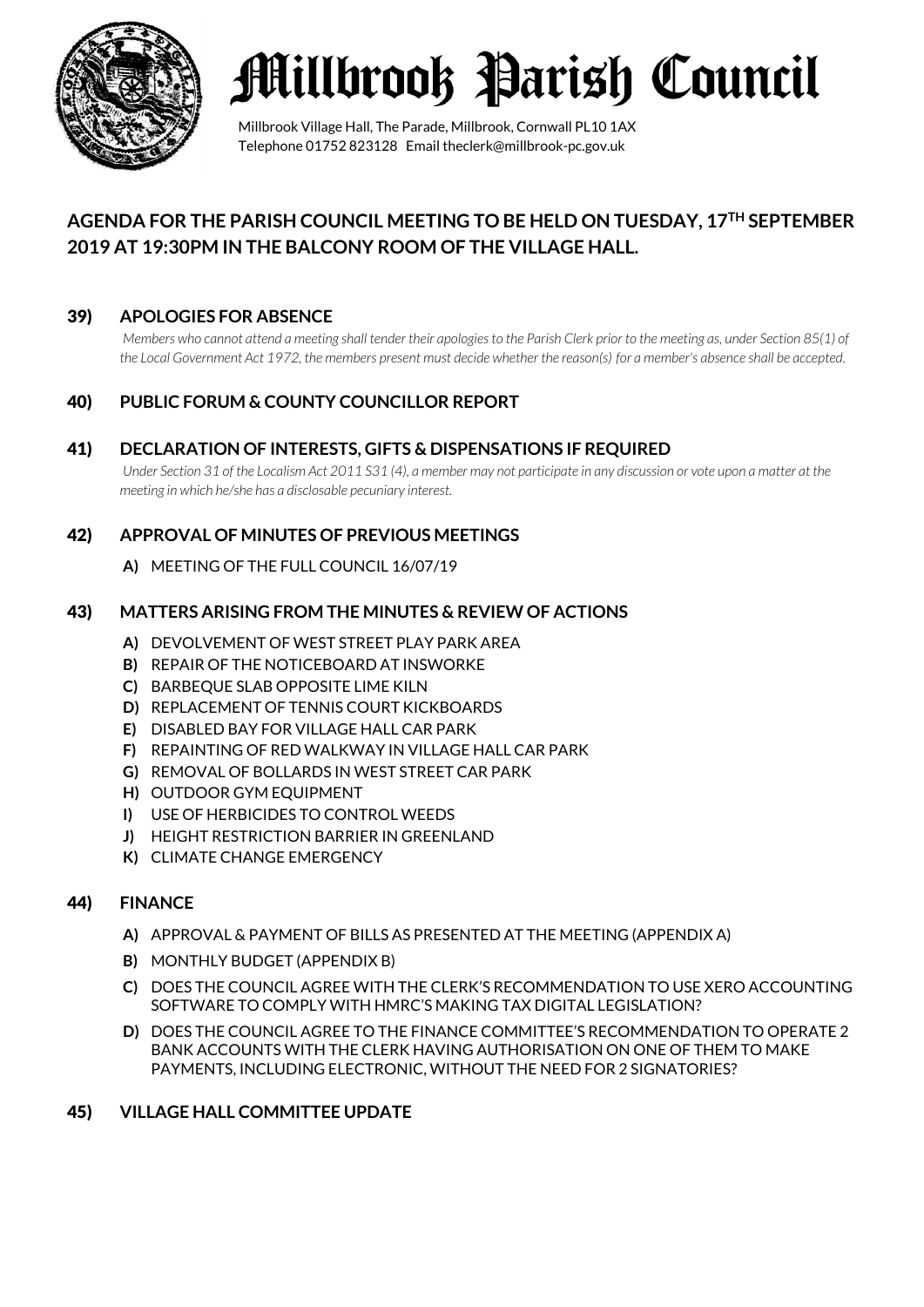

## **Millbrook Parish Council**

Millbrook Village Hall, The Parade, Millbrook, Cornwall PL10 1AX Telephone 01752 823128 Email theclerk@millbrook-pc.gov.uk

## **AGENDA FOR THE PARISH COUNCIL MEETING TO BE HELD ON TUESDAY, 17TH SEPTEMBER 2019 AT 19:30PM IN THE BALCONY ROOM OF THE VILLAGE HALL.**

## 39) **APOLOGIES FOR ABSENCE**

*Members who cannot attend a meeting shall tender their apologies to the Parish Clerk prior to the meeting as, under Section 85(1) of the Local Government Act 1972, the members present must decide whether the reason(s) for a member's absence shall be accepted.*

## 40) **PUBLIC FORUM & COUNTY COUNCILLOR REPORT**

#### 41) **DECLARATION OF INTERESTS, GIFTS & DISPENSATIONS IF REQUIRED**

*Under Section 31 of the Localism Act 2011 S31 (4), a member may not participate in any discussion or vote upon a matter at the meeting in which he/she has a disclosable pecuniary interest.*

## 42) **APPROVAL OF MINUTES OF PREVIOUS MEETINGS**

**A)** MEETING OF THE FULL COUNCIL 16/07/19

#### 43) **MATTERS ARISING FROM THE MINUTES & REVIEW OF ACTIONS**

- **A)** DEVOLVEMENT OF WEST STREET PLAY PARK AREA
- **B)** REPAIR OF THE NOTICEBOARD AT INSWORKE
- **C)** BARBEQUE SLAB OPPOSITE LIME KILN
- **D)** REPLACEMENT OF TENNIS COURT KICKBOARDS
- **E)** DISABLED BAY FOR VILLAGE HALL CAR PARK
- **F)** REPAINTING OF RED WALKWAY IN VILLAGE HALL CAR PARK
- **G)** REMOVAL OF BOLLARDS IN WEST STREET CAR PARK
- **H)** OUTDOOR GYM EQUIPMENT
- **I)** USE OF HERBICIDES TO CONTROL WEEDS
- **J)** HEIGHT RESTRICTION BARRIER IN GREENLAND
- **K)** CLIMATE CHANGE EMERGENCY

## 44) **FINANCE**

- **A)** APPROVAL & PAYMENT OF BILLS AS PRESENTED AT THE MEETING (APPENDIX A)
- **B)** MONTHLY BUDGET (APPENDIX B)
- **C)** DOES THE COUNCIL AGREE WITH THE CLERK'S RECOMMENDATION TO USE XERO ACCOUNTING SOFTWARE TO COMPLY WITH HMRC'S MAKING TAX DIGITAL LEGISLATION?
- **D)** DOES THE COUNCIL AGREE TO THE FINANCE COMMITTEE'S RECOMMENDATION TO OPERATE 2 BANK ACCOUNTS WITH THE CLERK HAVING AUTHORISATION ON ONE OF THEM TO MAKE PAYMENTS, INCLUDING ELECTRONIC, WITHOUT THE NEED FOR 2 SIGNATORIES?

#### 45) **VILLAGE HALL COMMITTEE UPDATE**